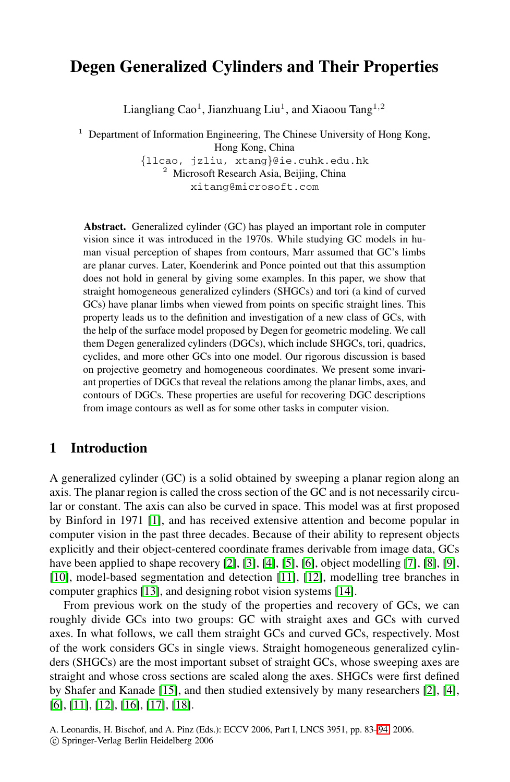# **Degen Generalized Cylinders and Their Properties**

Liangliang Cao<sup>1</sup>, Jianzhuang Liu<sup>1</sup>, and Xiaoou Tang<sup>1,2</sup>

 $1$  Department of Information Engineering, The Chinese University of Hong Kong,

Hong Kong, China

{llcao, jzliu, xtang}@ie.cuhk.edu.hk <sup>2</sup> Microsoft Research Asia, Beijing, China xitang@microsoft.com

**Abstract.** Generalized cylinder (GC) has played an important role in computer vision since it was introduced in the 1970s. While studying GC models in human visual perception of shapes from contours, Marr assumed that GC's limbs are planar curves. Later, Koenderink and Ponce pointed out that this assumption does not hold in general by giving some examples. In this paper, we show that straight homogeneous generalized cylinders (SHGCs) and tori (a kind of curved GCs) have planar limbs when viewed from points on specific straight lines. This property leads us to the definition and investigation of a new class of GCs, with the help of the surface model proposed by Degen for geometric modeling. We call them Degen generalized cylinders (DGCs), which include SHGCs, tori, quadrics, cyclides, and more other GCs into one model. Our rigorous discussion is based on projective geometry and homogeneous coordinates. We present some invariant properties of DGCs that reveal the relations among the planar limbs, axes, and contours of DGCs. These properties are useful for recovering DGC descriptions from image contours as well as for some other tasks in computer vision.

### **1 Introduction**

A generalized cylinder (GC) is a solid obtained by sweeping a planar region along an axis. The planar region is called the cross section of the GC and is not necessarily circular or constant. The axis can also be curved in space. This model was at first proposed by Binford in 1971 [\[1\]](#page-10-0), and has received extensive attention and become popular in computer vision in the past three decades. Because of their ability to represent objects explicitly and their object-centered coordinate frames derivable from image data, GCs have been applied to shape recovery [\[2\]](#page-10-1), [\[3\]](#page-10-2), [\[4\]](#page-10-3), [\[5\]](#page-10-4), [\[6\]](#page-10-5), object modelling [\[7\]](#page-10-6), [\[8\]](#page-10-7), [\[9\]](#page-10-8), [\[10\]](#page-10-9), model-based segmentation and detection [\[11\]](#page-10-10), [\[12\]](#page-10-11), modelling tree branches in computer graphics [\[13\]](#page-11-0), and designing robot vision systems [\[14\]](#page-11-1).

From previous work on the study of the properties and recovery of GCs, we can roughly divide GCs into two groups: GC with straight axes and GCs with curved axes. In what follows, we call them straight GCs and curved GCs, respectively. Most of the work considers GCs in single views. Straight homogeneous generalized cylinders (SHGCs) are the most important subset of straight GCs, whose sweeping axes are straight and whose cross sections are scaled along the axes. SHGCs were first defined by Shafer and Kanade [\[15\]](#page-11-2), and then studied extensively by many researchers [\[2\]](#page-10-1), [\[4\]](#page-10-3), [\[6\]](#page-10-5), [\[11\]](#page-10-10), [\[12\]](#page-10-11), [\[16\]](#page-11-3), [\[17\]](#page-11-4), [\[18\]](#page-11-5).

A. Leonardis, H. Bischof, and A. Pinz (Eds.): ECCV 2006, Part I, LNCS 3951, pp. 83[–94,](#page-10-12) 2006. -c Springer-Verlag Berlin Heidelberg 2006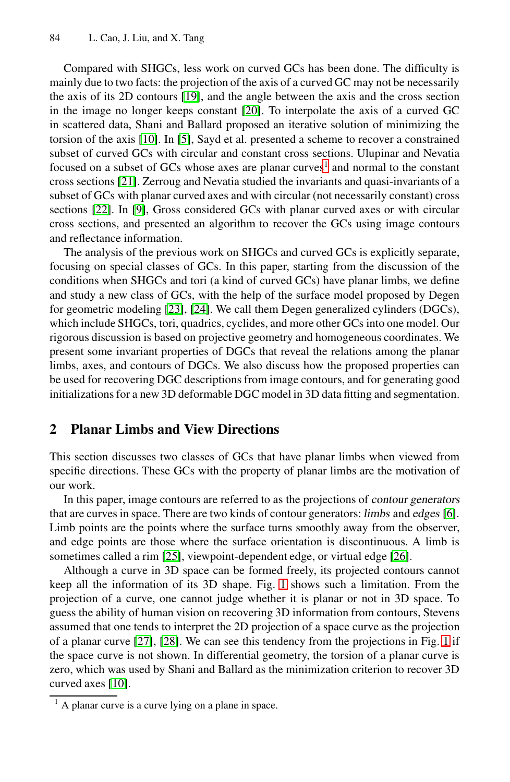Compared with SHGCs, less work on curved GCs has been done. The difficulty is mainly due to two facts: the projection of the axis of a curved GC may not be necessarily the axis of its 2D contours [\[19\]](#page-11-6), and the angle between the axis and the cross section in the image no longer keeps constant [\[20\]](#page-11-7). To interpolate the axis of a curved GC in scattered data, Shani and Ballard proposed an iterative solution of minimizing the torsion of the axis [\[10\]](#page-10-9). In [\[5\]](#page-10-4), Sayd et al. presented a scheme to recover a constrained subset of curved GCs with circular and constant cross sections. Ulupinar and Nevatia focused on a subset of GCs whose axes are planar curves<sup>1</sup> and normal to the constant cross sections [\[21\]](#page-11-8). Zerroug and Nevatia studied the invariants and quasi-invariants of a subset of GCs with planar curved axes and with circular (not necessarily constant) cross sections [\[22\]](#page-11-9). In [\[9\]](#page-10-8), Gross considered GCs with planar curved axes or with circular cross sections, and presented an algorithm to recover the GCs using image contours and reflectance information.

The analysis of the previous work on SHGCs and curved GCs is explicitly separate, focusing on special classes of GCs. In this paper, starting from the discussion of the conditions when SHGCs and tori (a kind of curved GCs) have planar limbs, we define and study a new class of GCs, with the help of the surface model proposed by Degen for geometric modeling [\[23\]](#page-11-10), [\[24\]](#page-11-11). We call them Degen generalized cylinders (DGCs), which include SHGCs, tori, quadrics, cyclides, and more other GCs into one model. Our rigorous discussion is based on projective geometry and homogeneous coordinates. We present some invariant properties of DGCs that reveal the relations among the planar limbs, axes, and contours of DGCs. We also discuss how the proposed properties can be used for recovering DGC descriptions from image contours, and for generating good initializations for a new 3D deformable DGC model in 3D data fitting and segmentation.

### **2 Planar Limbs and View Directions**

This section discusses two classes of GCs that have planar limbs when viewed from specific directions. These GCs with the property of planar limbs are the motivation of our work.

In this paper, image contours are referred to as the projections of contour generators that are curves in space. There are two kinds of contour generators: limbs and edges [\[6\]](#page-10-5). Limb points are the points where the surface turns smoothly away from the observer, and edge points are those where the surface orientation is discontinuous. A limb is sometimes called a rim [\[25\]](#page-11-12), viewpoint-dependent edge, or virtual edge [\[26\]](#page-11-13).

Although a curve in 3D space can be formed freely, its projected contours cannot keep all the information of its 3D shape. Fig. [1](#page-2-0) shows such a limitation. From the projection of a curve, one cannot judge whether it is planar or not in 3D space. To guess the ability of human vision on recovering 3D information from contours, Stevens assumed that one tends to interpret the 2D projection of a space curve as the projection of a planar curve [\[27\]](#page-11-14), [\[28\]](#page-11-15). We can see this tendency from the projections in Fig. [1](#page-2-0) if the space curve is not shown. In differential geometry, the torsion of a planar curve is zero, which was used by Shani and Ballard as the minimization criterion to recover 3D curved axes [\[10\]](#page-10-9).

<span id="page-1-0"></span> $<sup>1</sup>$  A planar curve is a curve lying on a plane in space.</sup>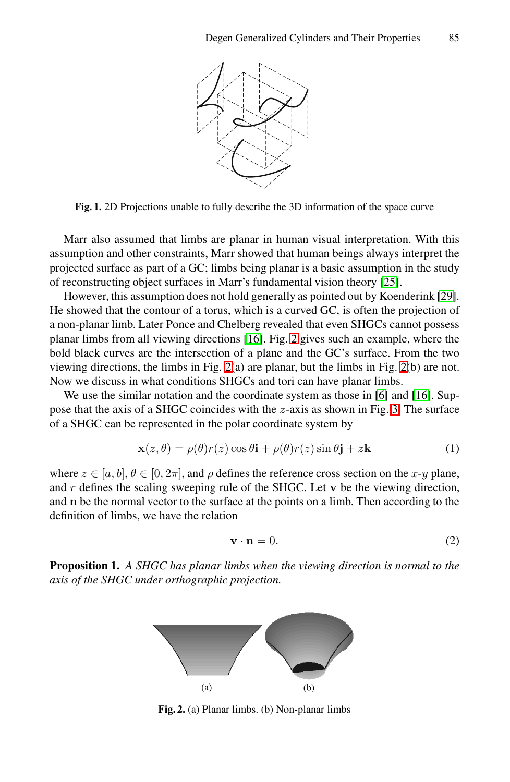

**Fig. 1.** 2D Projections unable to fully describe the 3D information of the space curve

<span id="page-2-0"></span>Marr also assumed that limbs are planar in human visual interpretation. With this assumption and other constraints, Marr showed that human beings always interpret the projected surface as part of a GC; limbs being planar is a basic assumption in the study of reconstructing object surfaces in Marr's fundamental vision theory [\[25\]](#page-11-12).

However, this assumption does not hold generally as pointed out by Koenderink [\[29\]](#page-11-16). He showed that the contour of a torus, which is a curved GC, is often the projection of a non-planar limb. Later Ponce and Chelberg revealed that even SHGCs cannot possess planar limbs from all viewing directions [\[16\]](#page-11-3). Fig. [2](#page-2-1) gives such an example, where the bold black curves are the intersection of a plane and the GC's surface. From the two viewing directions, the limbs in Fig. [2\(](#page-2-1)a) are planar, but the limbs in Fig. [2\(](#page-2-1)b) are not. Now we discuss in what conditions SHGCs and tori can have planar limbs.

We use the similar notation and the coordinate system as those in [\[6\]](#page-10-5) and [\[16\]](#page-11-3). Suppose that the axis of a SHGC coincides with the z-axis as shown in Fig. [3.](#page-3-0) The surface of a SHGC can be represented in the polar coordinate system by

<span id="page-2-2"></span>
$$
\mathbf{x}(z,\theta) = \rho(\theta)r(z)\cos\theta\mathbf{i} + \rho(\theta)r(z)\sin\theta\mathbf{j} + z\mathbf{k}
$$
 (1)

where  $z \in [a, b], \theta \in [0, 2\pi]$ , and  $\rho$  defines the reference cross section on the x-y plane, and r defines the scaling sweeping rule of the SHGC. Let **v** be the viewing direction, and **n** be the normal vector to the surface at the points on a limb. Then according to the definition of limbs, we have the relation

<span id="page-2-4"></span>
$$
\mathbf{v} \cdot \mathbf{n} = 0. \tag{2}
$$

<span id="page-2-3"></span>**Proposition 1.** *A SHGC has planar limbs when the viewing direction is normal to the axis of the SHGC under orthographic projection.*



<span id="page-2-1"></span>**Fig. 2.** (a) Planar limbs. (b) Non-planar limbs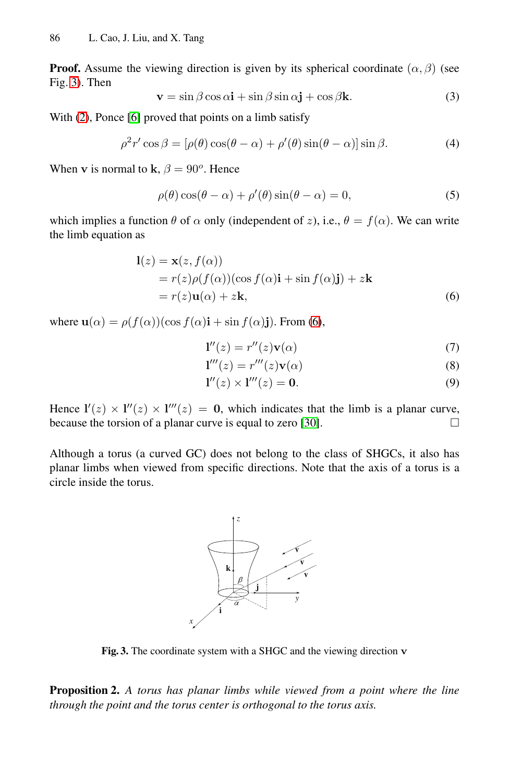**Proof.** Assume the viewing direction is given by its spherical coordinate  $(\alpha, \beta)$  (see Fig. [3\)](#page-3-0). Then

$$
\mathbf{v} = \sin \beta \cos \alpha \mathbf{i} + \sin \beta \sin \alpha \mathbf{j} + \cos \beta \mathbf{k}.
$$
 (3)

With [\(2\)](#page-2-2), Ponce [\[6\]](#page-10-5) proved that points on a limb satisfy

$$
\rho^2 r' \cos \beta = [\rho(\theta) \cos(\theta - \alpha) + \rho'(\theta) \sin(\theta - \alpha)] \sin \beta.
$$
 (4)

When **v** is normal to **k**,  $\beta = 90^\circ$ . Hence

$$
\rho(\theta)\cos(\theta-\alpha) + \rho'(\theta)\sin(\theta-\alpha) = 0,
$$
\n(5)

which implies a function  $\theta$  of  $\alpha$  only (independent of z), i.e.,  $\theta = f(\alpha)$ . We can write the limb equation as

$$
\begin{aligned} \mathbf{l}(z) &= \mathbf{x}(z, f(\alpha)) \\ &= r(z)\rho(f(\alpha))(\cos f(\alpha)\mathbf{i} + \sin f(\alpha)\mathbf{j}) + z\mathbf{k} \\ &= r(z)\mathbf{u}(\alpha) + z\mathbf{k}, \end{aligned} \tag{6}
$$

where  $\mathbf{u}(\alpha) = \rho(f(\alpha))(\cos f(\alpha)\mathbf{i} + \sin f(\alpha)\mathbf{j})$ . From [\(6\)](#page-3-1),

<span id="page-3-1"></span>
$$
\mathbf{l}''(z) = r''(z)\mathbf{v}(\alpha) \tag{7}
$$

$$
\mathbf{l}'''(z) = r'''(z)\mathbf{v}(\alpha) \tag{8}
$$

$$
\mathbf{l}''(z) \times \mathbf{l}'''(z) = \mathbf{0}.\tag{9}
$$

Hence  $I'(z) \times I''(z) \times I'''(z) = 0$ , which indicates that the limb is a planar curve, because the torsion of a planar curve is equal to zero [\[30\]](#page-11-17).  $\Box$ 

Although a torus (a curved GC) does not belong to the class of SHGCs, it also has planar limbs when viewed from specific directions. Note that the axis of a torus is a circle inside the torus.



**Fig. 3.** The coordinate system with a SHGC and the viewing direction **v**

<span id="page-3-2"></span><span id="page-3-0"></span>**Proposition 2.** *A torus has planar limbs while viewed from a point where the line through the point and the torus center is orthogonal to the torus axis.*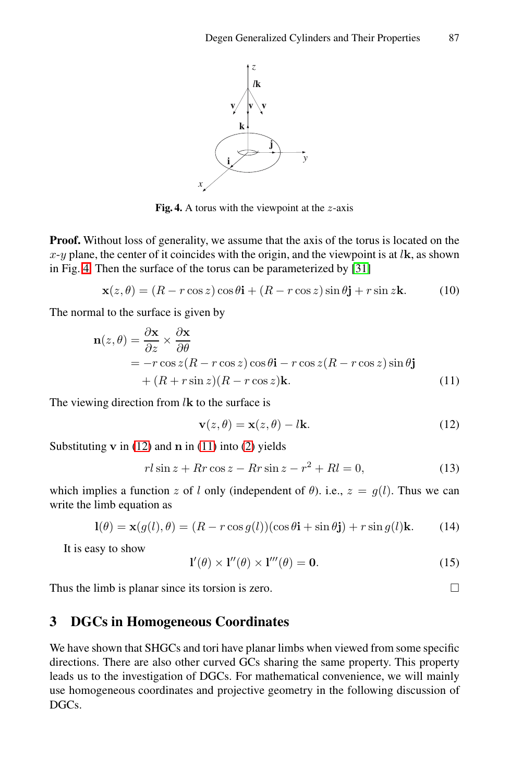

<span id="page-4-0"></span>**Fig. 4.** A torus with the viewpoint at the  $z$ -axis

**Proof.** Without loss of generality, we assume that the axis of the torus is located on the  $x-y$  plane, the center of it coincides with the origin, and the viewpoint is at  $l\mathbf{k}$ , as shown in Fig. [4.](#page-4-0) Then the surface of the torus can be parameterized by [\[31\]](#page-11-18)

$$
\mathbf{x}(z,\theta) = (R - r\cos z)\cos\theta\mathbf{i} + (R - r\cos z)\sin\theta\mathbf{j} + r\sin z\mathbf{k}.\tag{10}
$$

The normal to the surface is given by

$$
\mathbf{n}(z,\theta) = \frac{\partial \mathbf{x}}{\partial z} \times \frac{\partial \mathbf{x}}{\partial \theta}
$$
  
=  $-r \cos z (R - r \cos z) \cos \theta \mathbf{i} - r \cos z (R - r \cos z) \sin \theta \mathbf{j}$   
+  $(R + r \sin z) (R - r \cos z) \mathbf{k}$ . (11)

The viewing direction from l**k** to the surface is

<span id="page-4-3"></span><span id="page-4-2"></span><span id="page-4-1"></span>
$$
\mathbf{v}(z,\theta) = \mathbf{x}(z,\theta) - l\mathbf{k}.\tag{12}
$$

Substituting **v** in [\(12\)](#page-4-1) and **n** in [\(11\)](#page-4-2) into [\(2\)](#page-2-2) yields

$$
rl\sin z + Rr\cos z - Rr\sin z - r^2 + Rl = 0,\tag{13}
$$

which implies a function z of l only (independent of  $\theta$ ). i.e.,  $z = g(l)$ . Thus we can write the limb equation as

$$
\mathbf{l}(\theta) = \mathbf{x}(g(l), \theta) = (R - r\cos g(l))(\cos\theta \mathbf{i} + \sin\theta \mathbf{j}) + r\sin g(l)\mathbf{k}.
$$
 (14)

It is easy to show

$$
\mathbf{l}'(\theta) \times \mathbf{l}''(\theta) \times \mathbf{l}'''(\theta) = \mathbf{0}.\tag{15}
$$

Thus the limb is planar since its torsion is zero.  $\Box$ 

### **3 DGCs in Homogeneous Coordinates**

We have shown that SHGCs and tori have planar limbs when viewed from some specific directions. There are also other curved GCs sharing the same property. This property leads us to the investigation of DGCs. For mathematical convenience, we will mainly use homogeneous coordinates and projective geometry in the following discussion of DGCs.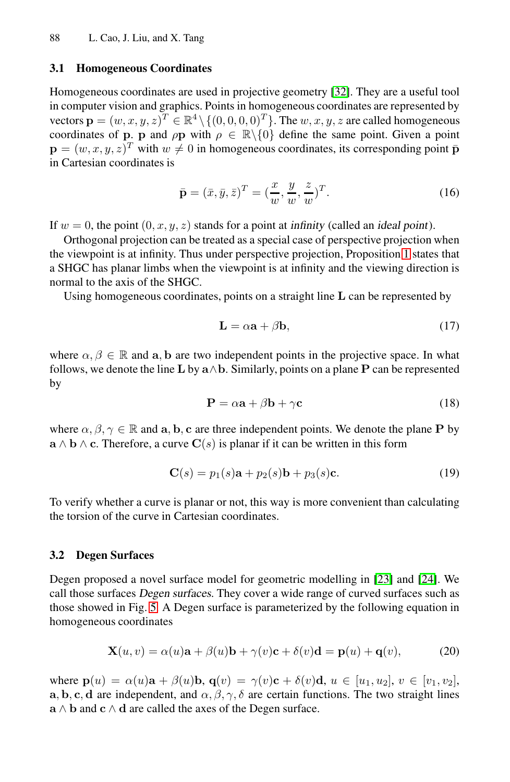#### **3.1 Homogeneous Coordinates**

Homogeneous coordinates are used in projective geometry [\[32\]](#page-11-19). They are a useful tool in computer vision and graphics. Points in homogeneous coordinates are represented by vectors  $\mathbf{p} = (w, x, y, z)^T \in \mathbb{R}^4 \setminus \{(0, 0, 0, 0)^T\}$ . The  $w, x, y, z$  are called homogeneous coordinates of **p**. **p** and  $\rho$ **p** with  $\rho \in \mathbb{R} \setminus \{0\}$  define the same point. Given a point  $\mathbf{p} = (w, x, y, z)^T$  with  $w \neq 0$  in homogeneous coordinates, its corresponding point  $\bar{\mathbf{p}}$ in Cartesian coordinates is

$$
\bar{\mathbf{p}} = (\bar{x}, \bar{y}, \bar{z})^T = (\frac{x}{w}, \frac{y}{w}, \frac{z}{w})^T.
$$
 (16)

If  $w = 0$ , the point  $(0, x, y, z)$  stands for a point at *infinity* (called an *ideal point*).

Orthogonal projection can be treated as a special case of perspective projection when the viewpoint is at infinity. Thus under perspective projection, Proposition [1](#page-2-3) states that a SHGC has planar limbs when the viewpoint is at infinity and the viewing direction is normal to the axis of the SHGC.

Using homogeneous coordinates, points on a straight line **L** can be represented by

$$
\mathbf{L} = \alpha \mathbf{a} + \beta \mathbf{b},\tag{17}
$$

where  $\alpha, \beta \in \mathbb{R}$  and  $\mathbf{a}, \mathbf{b}$  are two independent points in the projective space. In what follows, we denote the line **L** by  $a \wedge b$ . Similarly, points on a plane **P** can be represented by

$$
\mathbf{P} = \alpha \mathbf{a} + \beta \mathbf{b} + \gamma \mathbf{c} \tag{18}
$$

where  $\alpha, \beta, \gamma \in \mathbb{R}$  and  $\mathbf{a}, \mathbf{b}, \mathbf{c}$  are three independent points. We denote the plane **P** by **a** ∧ **b** ∧ **c**. Therefore, a curve  $\mathbf{C}(s)$  is planar if it can be written in this form

$$
\mathbf{C}(s) = p_1(s)\mathbf{a} + p_2(s)\mathbf{b} + p_3(s)\mathbf{c}.\tag{19}
$$

To verify whether a curve is planar or not, this way is more convenient than calculating the torsion of the curve in Cartesian coordinates.

### **3.2 Degen Surfaces**

Degen proposed a novel surface model for geometric modelling in [\[23\]](#page-11-10) and [\[24\]](#page-11-11). We call those surfaces Degen surfaces. They cover a wide range of curved surfaces such as those showed in Fig. [5.](#page-6-0) A Degen surface is parameterized by the following equation in homogeneous coordinates

$$
\mathbf{X}(u,v) = \alpha(u)\mathbf{a} + \beta(u)\mathbf{b} + \gamma(v)\mathbf{c} + \delta(v)\mathbf{d} = \mathbf{p}(u) + \mathbf{q}(v),\tag{20}
$$

where  $\mathbf{p}(u) = \alpha(u)\mathbf{a} + \beta(u)\mathbf{b}$ ,  $\mathbf{q}(v) = \gamma(v)\mathbf{c} + \delta(v)\mathbf{d}$ ,  $u \in [u_1, u_2]$ ,  $v \in [v_1, v_2]$ , **a**, **b**, **c**, **d** are independent, and  $\alpha$ ,  $\beta$ ,  $\gamma$ ,  $\delta$  are certain functions. The two straight lines **a** ∧ **b** and **c** ∧ **d** are called the axes of the Degen surface.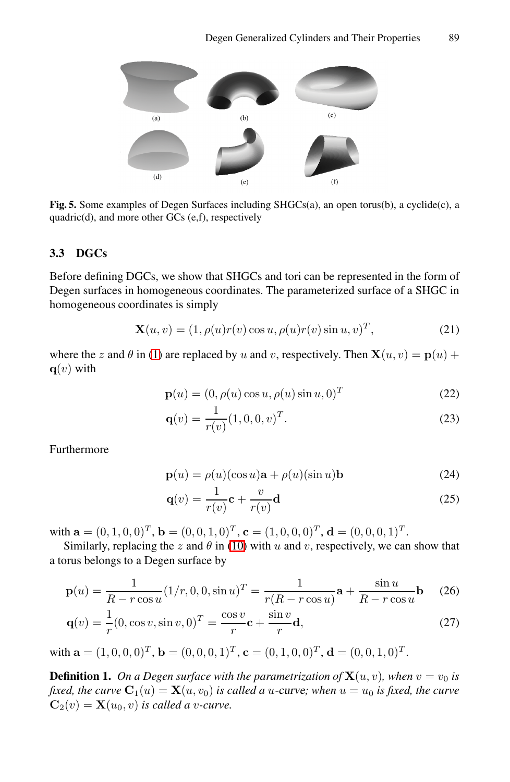

<span id="page-6-0"></span>**Fig. 5.** Some examples of Degen Surfaces including SHGCs(a), an open torus(b), a cyclide(c), a quadric(d), and more other GCs (e,f), respectively

#### **3.3 DGCs**

Before defining DGCs, we show that SHGCs and tori can be represented in the form of Degen surfaces in homogeneous coordinates. The parameterized surface of a SHGC in homogeneous coordinates is simply

<span id="page-6-1"></span>
$$
\mathbf{X}(u,v) = (1, \rho(u)r(v)\cos u, \rho(u)r(v)\sin u, v)^T,
$$
\n(21)

where the z and  $\theta$  in [\(1\)](#page-2-4) are replaced by u and v, respectively. Then  $X(u, v) = p(u) + p(u)$  $q(v)$  with

$$
\mathbf{p}(u) = (0, \rho(u)\cos u, \rho(u)\sin u, 0)^T
$$
 (22)

$$
\mathbf{q}(v) = \frac{1}{r(v)} (1, 0, 0, v)^T.
$$
 (23)

Furthermore

$$
\mathbf{p}(u) = \rho(u)(\cos u)\mathbf{a} + \rho(u)(\sin u)\mathbf{b}
$$
 (24)

<span id="page-6-4"></span><span id="page-6-3"></span><span id="page-6-2"></span>
$$
\mathbf{q}(v) = \frac{1}{r(v)} \mathbf{c} + \frac{v}{r(v)} \mathbf{d}
$$
 (25)

with  $\mathbf{a} = (0, 1, 0, 0)^T$ ,  $\mathbf{b} = (0, 0, 1, 0)^T$ ,  $\mathbf{c} = (1, 0, 0, 0)^T$ ,  $\mathbf{d} = (0, 0, 0, 1)^T$ .

Similarly, replacing the z and  $\theta$  in [\(10\)](#page-4-3) with u and v, respectively, we can show that a torus belongs to a Degen surface by

$$
\mathbf{p}(u) = \frac{1}{R - r\cos u}(1/r, 0, 0, \sin u)^T = \frac{1}{r(R - r\cos u)}\mathbf{a} + \frac{\sin u}{R - r\cos u}\mathbf{b}
$$
 (26)

$$
\mathbf{q}(v) = \frac{1}{r}(0, \cos v, \sin v, 0)^T = \frac{\cos v}{r}\mathbf{c} + \frac{\sin v}{r}\mathbf{d},\tag{27}
$$

with  $\mathbf{a} = (1, 0, 0, 0)^T$ ,  $\mathbf{b} = (0, 0, 0, 1)^T$ ,  $\mathbf{c} = (0, 1, 0, 0)^T$ ,  $\mathbf{d} = (0, 0, 1, 0)^T$ .

**Definition 1.** On a Degen surface with the parametrization of  $\mathbf{X}(u, v)$ , when  $v = v_0$  is *fixed, the curve*  $C_1(u) = X(u, v_0)$  *is called a u-curve; when*  $u = u_0$  *is fixed, the curve*  $\mathbf{C}_2(v) = \mathbf{X}(u_0, v)$  *is called a v-curve.*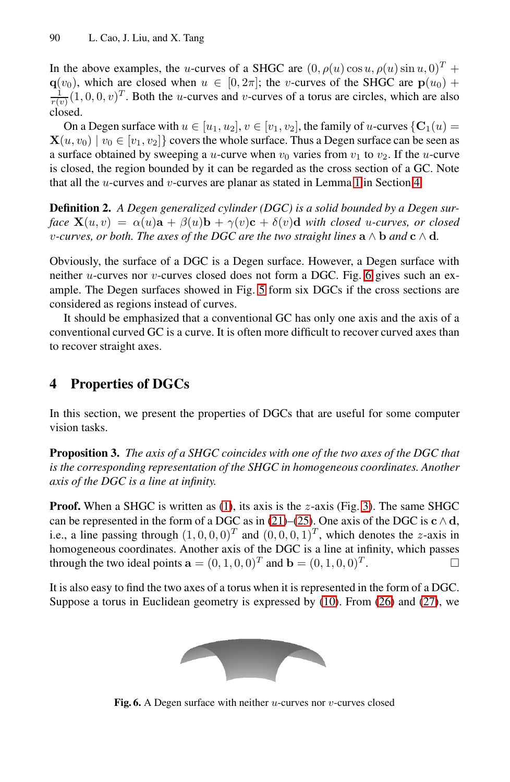In the above examples, the u-curves of a SHGC are  $(0, \rho(u)\cos u, \rho(u)\sin u, 0)^T$  + **q**(v<sub>0</sub>), which are closed when  $u \in [0, 2\pi]$ ; the v-curves of the SHGC are  $p(u_0)$  +  $\frac{1}{r(v)}(1,0,0,v)^T$ . Both the *u*-curves and *v*-curves of a torus are circles, which are also closed.

On a Degen surface with  $u \in [u_1, u_2], v \in [v_1, v_2]$ , the family of u-curves  $\{C_1(u) =$  $\mathbf{X}(u, v_0) | v_0 \in [v_1, v_2]$  covers the whole surface. Thus a Degen surface can be seen as a surface obtained by sweeping a *u*-curve when  $v_0$  varies from  $v_1$  to  $v_2$ . If the *u*-curve is closed, the region bounded by it can be regarded as the cross section of a GC. Note that all the  $u$ -curves and  $v$ -curves are planar as stated in Lemma [1](#page-8-0) in Section [4.](#page-7-0)

**Definition 2.** *A Degen generalized cylinder (DGC) is a solid bounded by a Degen surface*  $\mathbf{X}(u, v) = \alpha(u)\mathbf{a} + \beta(u)\mathbf{b} + \gamma(v)\mathbf{c} + \delta(v)\mathbf{d}$  *with closed u-curves, or closed v*-curves, or both. The axes of the DGC are the two straight lines  $\mathbf{a} \wedge \mathbf{b}$  and  $\mathbf{c} \wedge \mathbf{d}$ .

Obviously, the surface of a DGC is a Degen surface. However, a Degen surface with neither *u*-curves nor *v*-curves closed does not form a DGC. Fig. [6](#page-7-1) gives such an example. The Degen surfaces showed in Fig. [5](#page-6-0) form six DGCs if the cross sections are considered as regions instead of curves.

It should be emphasized that a conventional GC has only one axis and the axis of a conventional curved GC is a curve. It is often more difficult to recover curved axes than to recover straight axes.

# <span id="page-7-0"></span>**4 Properties of DGCs**

<span id="page-7-2"></span>In this section, we present the properties of DGCs that are useful for some computer vision tasks.

**Proposition 3.** *The axis of a SHGC coincides with one of the two axes of the DGC that is the corresponding representation of the SHGC in homogeneous coordinates. Another axis of the DGC is a line at infinity.*

**Proof.** When a SHGC is written as  $(1)$ , its axis is the *z*-axis (Fig. [3\)](#page-3-0). The same SHGC can be represented in the form of a DGC as in  $(21)–(25)$  $(21)–(25)$  $(21)–(25)$ . One axis of the DGC is **c**  $\wedge$ **d**, i.e., a line passing through  $(1, 0, 0, 0)^T$  and  $(0, 0, 0, 1)^T$ , which denotes the z-axis in homogeneous coordinates. Another axis of the DGC is a line at infinity, which passes through the two ideal points  $\mathbf{a} = (0, 1, 0, 0)^T$  and  $\mathbf{b} = (0, 1, 0, 0)^T$ .

It is also easy to find the two axes of a torus when it is represented in the form of a DGC. Suppose a torus in Euclidean geometry is expressed by [\(10\)](#page-4-3). From [\(26\)](#page-6-3) and [\(27\)](#page-6-4), we



<span id="page-7-1"></span>**Fig. 6.** A Degen surface with neither u-curves nor v-curves closed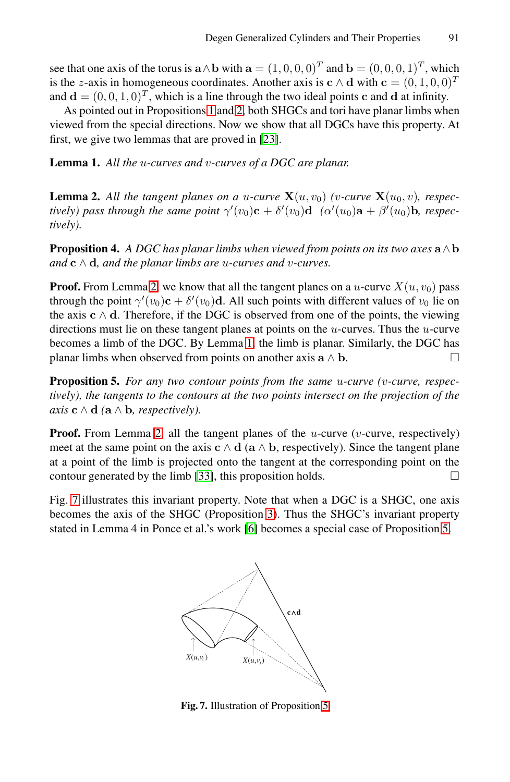see that one axis of the torus is  $\mathbf{a} \wedge \mathbf{b}$  with  $\mathbf{a} = (1, 0, 0, 0)^T$  and  $\mathbf{b} = (0, 0, 0, 1)^T$ , which is the z-axis in homogeneous coordinates. Another axis is **c** ∧ **d** with  $\mathbf{c} = (0, 1, 0, 0)^T$ and  $\mathbf{d} = (0, 0, 1, 0)^T$ , which is a line through the two ideal points **c** and **d** at infinity.

As pointed out in Propositions [1](#page-2-3) and [2,](#page-3-2) both SHGCs and tori have planar limbs when viewed from the special directions. Now we show that all DGCs have this property. At first, we give two lemmas that are proved in [\[23\]](#page-11-10).

<span id="page-8-1"></span><span id="page-8-0"></span>**Lemma 1.** *All the* u*-curves and* v*-curves of a DGC are planar.*

**Lemma 2.** All the tangent planes on a u-curve  $\mathbf{X}(u, v_0)$  (v-curve  $\mathbf{X}(u_0, v)$ , respec*tively)* pass through the same point  $\gamma'(v_0)$ **c** +  $\delta'(v_0)$ **d**  $(\alpha'(u_0)$ **a** +  $\beta'(u_0)$ **b**, respec*tively).*

**Proposition 4.** *A DGC has planar limbs when viewed from points on its two axes*  $a \wedge b$ *and* **c**  $\wedge$  **d***, and the planar limbs are u-curves and v-curves.* 

**Proof.** From Lemma [2,](#page-8-1) we know that all the tangent planes on a u-curve  $X(u, v_0)$  pass through the point  $\gamma'(v_0)$ **c** +  $\delta'(v_0)$ **d**. All such points with different values of  $v_0$  lie on the axis **c** ∧ **d**. Therefore, if the DGC is observed from one of the points, the viewing directions must lie on these tangent planes at points on the  $u$ -curves. Thus the  $u$ -curve becomes a limb of the DGC. By Lemma [1,](#page-8-0) the limb is planar. Similarly, the DGC has planar limbs when observed from points on another axis  $\mathbf{a} \wedge \mathbf{b}$ .

<span id="page-8-3"></span>**Proposition 5.** *For any two contour points from the same* u*-curve (*v*-curve, respectively), the tangents to the contours at the two points intersect on the projection of the axis* **c**  $\land$  **d** (**a**  $\land$  **b***, respectively).* 

**Proof.** From Lemma [2,](#page-8-1) all the tangent planes of the  $u$ -curve ( $v$ -curve, respectively) meet at the same point on the axis **c** ∧ **d** (**a** ∧ **b**, respectively). Since the tangent plane at a point of the limb is projected onto the tangent at the corresponding point on the contour generated by the limb [\[33\]](#page-11-20), this proposition holds.  $\Box$ 

Fig. [7](#page-8-2) illustrates this invariant property. Note that when a DGC is a SHGC, one axis becomes the axis of the SHGC (Proposition [3\)](#page-7-2). Thus the SHGC's invariant property stated in Lemma 4 in Ponce et al.'s work [\[6\]](#page-10-5) becomes a special case of Proposition [5.](#page-8-3)



<span id="page-8-2"></span>**Fig. 7.** Illustration of Proposition [5](#page-8-3)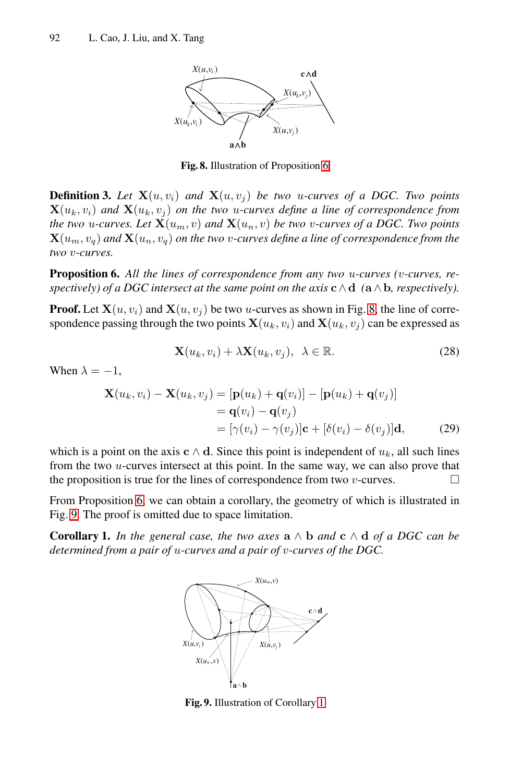

<span id="page-9-1"></span>**Fig. 8.** Illustration of Proposition [6](#page-9-0)

**Definition 3.** Let  $X(u, v_i)$  and  $X(u, v_i)$  be two u-curves of a DGC. Two points  $\mathbf{X}(u_k, v_i)$  and  $\mathbf{X}(u_k, v_j)$  on the two *u*-curves define a line of correspondence from *the two u-curves. Let*  $\mathbf{X}(u_m, v)$  *and*  $\mathbf{X}(u_n, v)$  *be two v-curves of a DGC. Two points*  $\mathbf{X}(u_m, v_a)$  and  $\mathbf{X}(u_n, v_a)$  on the two *v*-curves define a line of correspondence from the *two* v*-curves.*

<span id="page-9-0"></span>**Proposition 6.** *All the lines of correspondence from any two* u*-curves (*v*-curves, respectively) of a DGC intersect at the same point on the axis*  $c \wedge d$  ( $a \wedge b$ *, respectively).* 

**Proof.** Let  $X(u, v_i)$  and  $X(u, v_j)$  be two u-curves as shown in Fig. [8,](#page-9-1) the line of correspondence passing through the two points  $\mathbf{X}(u_k, v_i)$  and  $\mathbf{X}(u_k, v_i)$  can be expressed as

$$
\mathbf{X}(u_k, v_i) + \lambda \mathbf{X}(u_k, v_j), \ \lambda \in \mathbb{R}.\tag{28}
$$

When  $\lambda = -1$ ,

$$
\mathbf{X}(u_k, v_i) - \mathbf{X}(u_k, v_j) = [\mathbf{p}(u_k) + \mathbf{q}(v_i)] - [\mathbf{p}(u_k) + \mathbf{q}(v_j)]
$$
  
=  $\mathbf{q}(v_i) - \mathbf{q}(v_j)$   
=  $[\gamma(v_i) - \gamma(v_j)]\mathbf{c} + [\delta(v_i) - \delta(v_j)]\mathbf{d},$  (29)

which is a point on the axis **c**  $\wedge$  **d**. Since this point is independent of  $u_k$ , all such lines from the two u-curves intersect at this point. In the same way, we can also prove that the proposition is true for the lines of correspondence from two  $v$ -curves.  $\Box$ 

<span id="page-9-3"></span>From Proposition [6,](#page-9-0) we can obtain a corollary, the geometry of which is illustrated in Fig. [9.](#page-9-2) The proof is omitted due to space limitation.

**Corollary 1.** *In the general case, the two axes*  $\mathbf{a} \wedge \mathbf{b}$  *and*  $\mathbf{c} \wedge \mathbf{d}$  *of a DGC can be determined from a pair of* u*-curves and a pair of* v*-curves of the DGC.*



<span id="page-9-2"></span>**Fig. 9.** Illustration of Corollary [1](#page-9-3)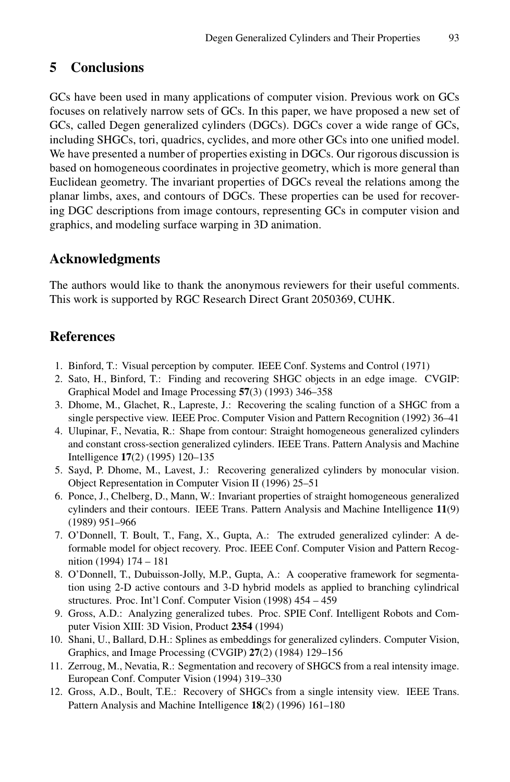## **5 Conclusions**

GCs have been used in many applications of computer vision. Previous work on GCs focuses on relatively narrow sets of GCs. In this paper, we have proposed a new set of GCs, called Degen generalized cylinders (DGCs). DGCs cover a wide range of GCs, including SHGCs, tori, quadrics, cyclides, and more other GCs into one unified model. We have presented a number of properties existing in DGCs. Our rigorous discussion is based on homogeneous coordinates in projective geometry, which is more general than Euclidean geometry. The invariant properties of DGCs reveal the relations among the planar limbs, axes, and contours of DGCs. These properties can be used for recovering DGC descriptions from image contours, representing GCs in computer vision and graphics, and modeling surface warping in 3D animation.

### **Acknowledgments**

The authors would like to thank the anonymous reviewers for their useful comments. This work is supported by RGC Research Direct Grant 2050369, CUHK.

## <span id="page-10-12"></span><span id="page-10-0"></span>**References**

- 1. Binford, T.: Visual perception by computer. IEEE Conf. Systems and Control (1971)
- <span id="page-10-1"></span>2. Sato, H., Binford, T.: Finding and recovering SHGC objects in an edge image. CVGIP: Graphical Model and Image Processing **57**(3) (1993) 346–358
- <span id="page-10-2"></span>3. Dhome, M., Glachet, R., Lapreste, J.: Recovering the scaling function of a SHGC from a single perspective view. IEEE Proc. Computer Vision and Pattern Recognition (1992) 36–41
- <span id="page-10-3"></span>4. Ulupinar, F., Nevatia, R.: Shape from contour: Straight homogeneous generalized cylinders and constant cross-section generalized cylinders. IEEE Trans. Pattern Analysis and Machine Intelligence **17**(2) (1995) 120–135
- <span id="page-10-4"></span>5. Sayd, P. Dhome, M., Lavest, J.: Recovering generalized cylinders by monocular vision. Object Representation in Computer Vision II (1996) 25–51
- <span id="page-10-5"></span>6. Ponce, J., Chelberg, D., Mann, W.: Invariant properties of straight homogeneous generalized cylinders and their contours. IEEE Trans. Pattern Analysis and Machine Intelligence **11**(9) (1989) 951–966
- <span id="page-10-6"></span>7. O'Donnell, T. Boult, T., Fang, X., Gupta, A.: The extruded generalized cylinder: A deformable model for object recovery. Proc. IEEE Conf. Computer Vision and Pattern Recognition (1994) 174 – 181
- <span id="page-10-7"></span>8. O'Donnell, T., Dubuisson-Jolly, M.P., Gupta, A.: A cooperative framework for segmentation using 2-D active contours and 3-D hybrid models as applied to branching cylindrical structures. Proc. Int'l Conf. Computer Vision (1998) 454 – 459
- <span id="page-10-8"></span>9. Gross, A.D.: Analyzing generalized tubes. Proc. SPIE Conf. Intelligent Robots and Computer Vision XIII: 3D Vision, Product **2354** (1994)
- <span id="page-10-9"></span>10. Shani, U., Ballard, D.H.: Splines as embeddings for generalized cylinders. Computer Vision, Graphics, and Image Processing (CVGIP) **27**(2) (1984) 129–156
- <span id="page-10-10"></span>11. Zerroug, M., Nevatia, R.: Segmentation and recovery of SHGCS from a real intensity image. European Conf. Computer Vision (1994) 319–330
- <span id="page-10-11"></span>12. Gross, A.D., Boult, T.E.: Recovery of SHGCs from a single intensity view. IEEE Trans. Pattern Analysis and Machine Intelligence **18**(2) (1996) 161–180